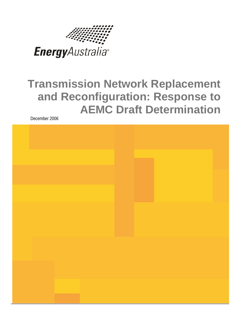

# **Transmission Network Replacement and Reconfiguration: Response to AEMC Draft Determination**

December 2006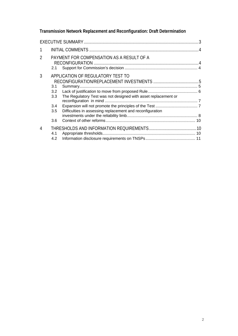## **Transmission Network Replacement and Reconfiguration: Draft Determination**

| 1              |                                        |                                                                                                                                                                  |  |
|----------------|----------------------------------------|------------------------------------------------------------------------------------------------------------------------------------------------------------------|--|
| $\overline{2}$ | 2.1                                    | PAYMENT FOR COMPENSATION AS A RESULT OF A                                                                                                                        |  |
| 3              | 3.1<br>3.2<br>3.3<br>3.4<br>3.5<br>3.6 | APPLICATION OF REGULATORY TEST TO<br>The Regulatory Test was not designed with asset replacement or<br>Difficulties in assessing replacement and reconfiguration |  |
| 4              | 4.1<br>4.2                             |                                                                                                                                                                  |  |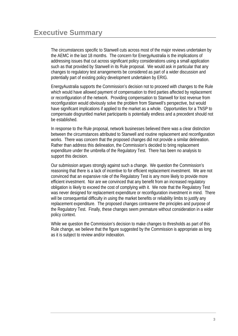<span id="page-2-0"></span>The circumstances specific to Stanwell cuts across most of the major reviews undertaken by the AEMC in the last 18 months. The concern for EnergyAustralia is the implications of addressing issues that cut across significant policy considerations using a small application such as that provided by Stanwell in its Rule proposal. We would ask in particular that any changes to regulatory test arrangements be considered as part of a wider discussion and potentially part of existing policy development undertaken by ERIG.

EnergyAustralia supports the Commission's decision not to proceed with changes to the Rule which would have allowed payment of compensation to third parties affected by replacement or reconfiguration of the network. Providing compensation to Stanwell for lost revenue from reconfiguration would obviously solve the problem from Stanwell's perspective, but would have significant implications if applied to the market as a whole. Opportunities for a TNSP to compensate disgruntled market participants is potentially endless and a precedent should not be established.

In response to the Rule proposal, network businesses believed there was a clear distinction between the circumstances attributed to Stanwell and routine replacement and reconfiguration works. There was concern that the proposed changes did not provide a similar delineation. Rather than address this delineation, the Commission's decided to bring replacement expenditure under the umbrella of the Regulatory Test. There has been no analysis to support this decision.

Our submission argues strongly against such a change. We question the Commission's reasoning that there is a lack of incentive to for efficient replacement investment. We are not convinced that an expansive role of the Regulatory Test is any more likely to provide more efficient investment. Nor are we convinced that any benefit from an increased regulatory obligation is likely to exceed the cost of complying with it. We note that the Regulatory Test was never designed for replacement expenditure or reconfiguration investment in mind. There will be consequential difficulty in using the market benefits or reliability limbs to justify any replacement expenditure. The proposed changes contravene the principles and purpose of the Regulatory Test. Finally, these changes seem premature without consideration in a wider policy context.

While we question the Commission's decision to make changes to thresholds as part of this Rule change, we believe that the figure suggested by the Commission is appropriate as long as it is subject to review and/or indexation.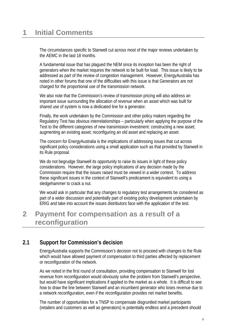## <span id="page-3-0"></span>**1 Initial Comments**

The circumstances specific to Stanwell cut across most of the major reviews undertaken by the AEMC in the last 18 months.

A fundamental issue that has plagued the NEM since its inception has been the right of generators when the market requires the network to be built for load. This issue is likely to be addressed as part of the review of congestion management. However, EnergyAustralia has noted in other forums that one of the difficulties with this issue is that Generators are not charged for the proportional use of the transmission network.

We also note that the Commission's review of transmission pricing will also address an important issue surrounding the allocation of revenue when an asset which was built for shared use of system is now a dedicated line for a generator.

Finally, the work undertaken by the Commission and other policy makers regarding the Regulatory Test has obvious interrelationships – particularly when applying the purpose of the Test to the different categories of new transmission investment: constructing a new asset; augmenting an existing asset; reconfiguring an old asset and replacing an asset.

The concern for EnergyAustralia is the implications of addressing issues that cut across significant policy considerations using a small application such as that provided by Stanwell in its Rule proposal.

We do not begrudge Stanwell its opportunity to raise its issues in light of these policy considerations. However, the large policy implications of any decision made by the Commission require that the issues raised must be viewed in a wider context. To address these significant issues in the context of Stanwell's predicament is equivalent to using a sledgehammer to crack a nut.

We would ask in particular that any changes to regulatory test arrangements be considered as part of a wider discussion and potentially part of existing policy development undertaken by ERIG and take into account the issues distributors face with the application of the test.

## **2 Payment for compensation as a result of a reconfiguration**

### **2.1 Support for Commission's decision**

EnergyAustralia supports the Commission's decision not to proceed with changes to the Rule which would have allowed payment of compensation to third parties affected by replacement or reconfiguration of the network.

As we noted in the first round of consultation, providing compensation to Stanwell for lost revenue from reconfiguration would obviously solve the problem from Stanwell's perspective, but would have significant implications if applied to the market as a whole. It is difficult to see how to draw the line between Stanwell and an incumbent generator who loses revenue due to a network reconfiguration, even if the reconfiguration provides net market benefits.

The number of opportunities for a TNSP to compensate disgruntled market participants (retailers and customers as well as generators) is potentially endless and a precedent should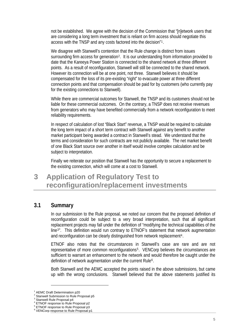<span id="page-4-0"></span>not be established. We agree with the decision of the Commission that "[n]etwork users that are considering a long term investment that is reliant on firm access should negotiate this access with the TNSP and any costs factored into the decision"[1](#page-4-1).

We disagree with Stanwell's contention that the Rule change is distinct from issues surrounding firm access for generation<sup>[2](#page-4-2)</sup>. It is our understanding from information provided to date that the Kareeya Power Station is connected to the shared network at three different points. As a result of reconfiguration, Stanwell will still be connected to the shared network. However its connection will be at one point, not three. Stanwell believes it should be compensated for the loss of its pre-existing "right" to evacuate power at three different connection points and that compensation should be paid for by customers (who currently pay for the existing connections to Stanwell).

While there are commercial outcomes for Stanwell, the TNSP and its customers should not be liable for these commercial outcomes. On the contrary, a TNSP does not receive revenues from generators who may have benefited commercially from a network reconfiguration to meet reliability requirements.

In respect of calculation of lost "Black Start" revenue, a TNSP would be required to calculate the long term impact of a short term contract with Stanwell against any benefit to another market participant being awarded a contract in Stanwell's stead. We understand that the terms and consideration for such contracts are not publicly available. The net market benefit of one Black Start source over another in itself would involve complex calculation and be subject to interpretation.

Finally we reiterate our position that Stanwell has the opportunity to secure a replacement to the existing connection, which will come at a cost to Stanwell.

## **3 Application of Regulatory Test to reconfiguration/replacement investments**

#### **3.1 Summary**

In our submission to the Rule proposal, we noted our concern that the proposed definition of reconfiguration could be subject to a very broad interpretation, such that all significant replacement projects may fall under the definition of "modifying the technical capabilities of the line<sup>[3](#page-4-3)</sup>". This definition would run contrary to ETNOF's statement that network augmentation and reconfiguration can be clearly distinguished from network replacement<sup>[4](#page-4-4)</sup>.

ETNOF also notes that the circumstances in Stanwell's case are rare and are not representative of more common reconfigurations[5](#page-4-5). VENCorp believes the circumstances are sufficient to warrant an enhancement to the network and would therefore be caught under the definition of network augmentation under the current Rule<sup>[6](#page-4-6)</sup>.

Both Stanwell and the AEMC accepted the points raised in the above submissions, but came up with the wrong conclusions. Stanwell believed that the above statements justified its

<sup>&</sup>lt;sup>1</sup> AEMC Draft Determination p20

<span id="page-4-2"></span><span id="page-4-1"></span><sup>&</sup>lt;sup>2</sup> Stanwell Submission to Rule Proposal p5

<span id="page-4-3"></span>Stanwell Rule Proposal p4

<span id="page-4-4"></span><sup>4</sup> ETNOF response to Rule Proposal p2

<span id="page-4-5"></span><sup>5</sup> ETNOF response to Rule Proposal p3

<span id="page-4-6"></span><sup>6</sup> VENCorp response to Rule Proposal p1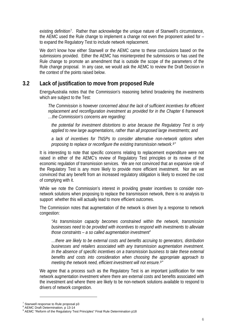<span id="page-5-0"></span>existing definition[7](#page-5-1). Rather than acknowledge the unique nature of Stanwell's circumstance, the AEMC used the Rule change to implement a change not even the proponent asked for – to expand the Regulatory Test to include network replacement.

We don't know how either Stanwell or the AEMC came to these conclusions based on the submissions provided. Either the AEMC has misinterpreted the submissions or has used the Rule change to promote an amendment that is outside the scope of the parameters of the Rule change proposal. In any case, we would ask the AEMC to review the Draft Decision in the context of the points raised below.

#### **3.2 Lack of justification to move from proposed Rule**

EnergyAustralia notes that the Commission's reasoning behind broadening the investments which are subject to the Test:

*The Commission is however concerned about the lack of sufficient incentives for efficient replacement and reconfiguration investment as provided for in the Chapter 6 framework …the Commission's concerns are regarding:* 

*the potential for investment distortions to arise because the Regulatory Test is only applied to new large augmentations, rather than all proposed large investments; and* 

*a lack of incentives for TNSPs to consider alternative non-network options when proposing to replace or reconfigure the existing transmission network.[8](#page-5-2)"* 

It is interesting to note that specific concerns relating to replacement expenditure were not raised in either of the AEMC's review of Regulatory Test principles or its review of the economic regulation of transmission services. We are not convinced that an expansive role of the Regulatory Test is any more likely to provide more efficient investment. Nor are we convinced that any benefit from an increased regulatory obligation is likely to exceed the cost of complying with it.

While we note the Commission's interest in providing greater incentives to consider nonnetwork solutions when proposing to replace the transmission network, there is no analysis to support whether this will actually lead to more efficient outcomes.

The Commission notes that augmentation of the network is driven by a response to network congestion:

*"As transmission capacity becomes constrained within the network, transmission businesses need to be provided with incentives to respond with investments to alleviate those constraints – a so called augmentation investment"* 

*…there are likely to be external costs and benefits accruing to generators, distribution businesses and retailers associated with any transmission augmentation investment. In the absence of specific incentives on a transmission business to take these external benefits and costs into consideration when choosing the appropriate approach to meeting the network need, efficient investment will not ensure.[9](#page-5-3)"* 

We agree that a process such as the Regulatory Test is an important justification for new network augmentation investment where there are external costs and benefits associated with the investment and where there are likely to be non-network solutions available to respond to drivers of network congestion.

<span id="page-5-1"></span> $7$  Stanwell response to Rule proposal p3

<span id="page-5-2"></span><sup>8</sup> AEMC Draft Determination, p 13-14

<span id="page-5-3"></span><sup>&</sup>lt;sup>9</sup> AEMC "Reform of the Regulatory Test Principles" Final Rule Determination p18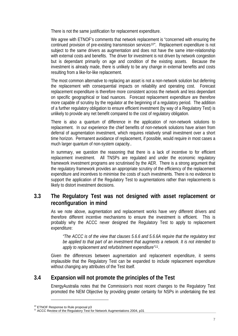<span id="page-6-0"></span>There is not the same justification for replacement expenditure.

We agree with ETNOF's comments that network replacement is "concerned with ensuring the continued provision of pre-existing transmission services<sup>[10](#page-6-1)"</sup>. Replacement expenditure is not subject to the same drivers as augmentation and does not have the same inter-relationship with external costs and benefits. The driver for investment is not driven by network congestion but is dependant primarily on age and condition of the existing assets. Because the investment is already made, there is unlikely to be any change in external benefits and costs resulting from a like-for-like replacement.

The most common alternative to replacing an asset is not a non-network solution but deferring the replacement with consequential impacts on reliability and operating cost. Forecast replacement expenditure is therefore more consistent across the network and less dependant on specific geographical or load nuances. Forecast replacement expenditure are therefore more capable of scrutiny by the regulator at the beginning of a regulatory period. The addition of a further regulatory obligation to ensure efficient investment (by way of a Regulatory Test) is unlikely to provide any net benefit compared to the cost of regulatory obligation.

There is also a quantum of difference in the application of non-network solutions to replacement. In our experience the chief benefits of non-network solutions have arisen from deferral of augmentation investment, which requires relatively small investment over a short time horizon. Permanent avoidance of replacement, if possible, would require in most cases a much larger quantum of non-system capacity..

In summary, we question the reasoning that there is a lack of incentive to for efficient replacement investment. All TNSPs are regulated and under the economic regulatory framework investment programs are scrutinised by the AER. There is a strong argument that the regulatory framework provides an appropriate scrutiny of the efficiency of the replacement expenditure and incentives to minimise the costs of such investments. There is no evidence to support the application of the Regulatory Test to augmentations rather than replacements is likely to distort investment decisions.

#### **3.3 The Regulatory Test was not designed with asset replacement or reconfiguration in mind**

As we note above, augmentation and replacement works have very different drivers and therefore different incentive mechanisms to ensure the investment is efficient. This is probably why the ACCC never designed the Regulatory Test to apply to replacement expenditure:

*"The ACCC is of the view that clauses 5.6.6 and 5.6.6A require that the regulatory test be applied to that part of an investment that augments a network. It is not intended to apply to replacement and refurbishment expenditure"[11](#page-6-2).* 

Given the differences between augmentation and replacement expenditure, it seems implausible that the Regulatory Test can be expanded to include replacement expenditure without changing any attributes of the Test itself.

#### **3.4 Expansion will not promote the principles of the Test**

EnergyAustralia notes that the Commission's most recent changes to the Regulatory Test promoted the NEM Objective by providing greater certainty for NSPs in undertaking the test

<span id="page-6-2"></span><span id="page-6-1"></span>

 $10$  ETNOF Response to Rule proposal p3<br> $11$  ACCC Review of the Regulatory Test for Network Augmentations 2004, p31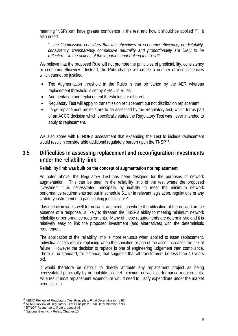<span id="page-7-0"></span>meaning "NSPs can have greater confidence in the test and how it should be applied<sup>[12](#page-7-1)"</sup>. It also noted:

*"…the Commission considers that the objectives of economic efficiency, predictability, consistency, transparency competitive neutrality and proportionality are likely to be reflected… in the actions of those parties undertaking the Test[13](#page-7-2)"* 

We believe that the proposed Rule will not promote the principles of predictability, consistency or economic efficiency. Instead, the Rule change will create a number of inconsistencies which cannot be justified:

- The Augmentation threshold in the Rules is can be varied by the AER whereas replacement threshold is set by AEMC in Rules;
- Augmentation and replacement thresholds are different;
- Regulatory Test will apply to transmission replacement but not distribution replacement;
- Large replacement projects are to be assessed by the Regulatory test, which forms part of an ACCC decision which specifically states the Regulatory Test was never intended to apply to replacement.

We also agree with ETNOF's assessment that expanding the Test to include replacement would result in considerable additional regulatory burden upon the TNSP[14](#page-7-3).

#### **3.5 Difficulties in assessing replacement and reconfiguration investments under the reliability limb**

### **Reliability limb was built on the concept of augmentation not replacement**

As noted above, the Regulatory Test has been designed for the purposes of network augmentation. This can be seen in the reliability limb of the test where the proposed investment "…is necessitated principally by inability to meet the minimum network performance requirements set out in schedule 5.1 or in relevant legislation, regulations or any statutory instrument of a participating jurisdiction<sup>[15](#page-7-4)"</sup>.

This definition works well for network augmentation where the utilisation of the network in the absence of a response, is likely to threaten the TNSP's ability to meeting minimum network reliability or performance requirements. Many of these requirements are deterministic and it is relatively easy to link the proposed investment (and alternatives) with the deterministic requirement

The application of the reliability limb is more tenuous when applied to asset replacement. Individual assets require replacing when the condition or age of the asset increases the risk of failure. However the decision to replace is one of engineering judgement than compliance. There is no standard, for instance, that suggests that all transformers be less than 40 years old.

It would therefore be difficult to directly attribute any replacement project as being necessitated principally by an inability to meet minimum network performance requirements. As a result most replacement expenditure would need to justify expenditure under the market benefits limb.

<span id="page-7-2"></span><span id="page-7-1"></span><sup>&</sup>lt;sup>12</sup> AEMC Review of Regulatory Test Principles: Final Determination p 93<br><sup>13</sup> AEMC Review of Regulatory Test Principles: Final Determination p 93<br><sup>14</sup> ETNOF Response to Rule proposal p3<br><sup>15</sup> National Electricity Rules, Ch

<span id="page-7-3"></span>

<span id="page-7-4"></span>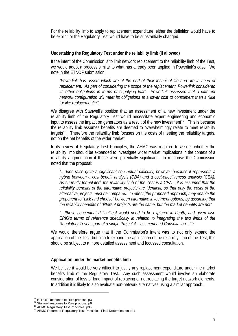For the reliability limb to apply to replacement expenditure, either the definition would have to be explicit or the Regulatory Test would have to be substantially changed.

### **Undertaking the Regulatory Test under the reliability limb (if allowed)**

If the intent of the Commission is to limit network replacement to the reliability limb of the Test, we would adopt a process similar to what has already been applied in Powerlink's case. We note in the ETNOF submission:

*"Powerlink has assets which are at the end of their technical life and are in need of replacement. As part of considering the scope of the replacement, Powerlink considered*  its other obligations in terms of supplying load. Powerlink assessed that a different *network configuration will meet its obligations at a lower cost to consumers than a "like for like replacement[16](#page-8-0)".* 

We disagree with Stanwell's position that an assessment of a new investment under the reliability limb of the Regulatory Test would necessitate expert engineering and economic input to assess the impact on generators as a result of the new investment<sup>[17](#page-8-1)</sup>. This is because the reliability limb assumes benefits are deemed to overwhelmingly relate to meet reliability targets<sup>[18](#page-8-2)</sup>. Therefore the reliability limb focuses on the costs of meeting the reliability targets, not on the net benefits of the wider market.

In its review of Regulatory Test Principles, the AEMC was reguired to assess whether the reliability limb should be expanded to investigate wider market implications in the context of a reliability augmentation if these were potentially significant. In response the Commission noted that the proposal:

*"…does raise quite a significant conceptual difficulty, however because it represents a hybrid between a cost-benefit analysis (CBA) and a cost-effectiveness analysis (CEA). As currently formulated, the reliability limb of the Test is a CEA – it is assumed that the reliability benefits of the alternative projects are identical, so that only the costs of the alternative projects must be compared. In effect [the proposed approach] may enable the proponent to "pick and choose" between alternative investment options, by assuming that the reliability benefits of different projects are the same, but the market benefits are not"* 

*"…[these conceptual difficulties] would need to be explored in depth, and given also ERIG's terms of reference specifically in relation to integrating the two limbs of the Regulatory Test as part of a single Project Assessment and Consultation…"[19](#page-8-3)*

We would therefore argue that if the Commission's intent was to not only expand the application of the Test, but also to expand the application of the reliability limb of the Test, this should be subject to a more detailed assessment and focussed consultation.

### **Application under the market benefits limb**

We believe it would be very difficult to justify any replacement expenditure under the market benefits limb of the Regulatory Test. Any such assessment would involve an elaborate consideration of loss of load impact of replacing or not replacing the target network elements. In addition it is likely to also evaluate non-network alternatives using a similar approach.

<span id="page-8-1"></span>

<span id="page-8-3"></span><span id="page-8-2"></span>

<span id="page-8-0"></span><sup>&</sup>lt;sup>16</sup> ETNOF Response to Rule proposal p3<br><sup>17</sup> Stanwell response to Rule proposal p6<br><sup>18</sup> AEMC Regulatory Test Principles, p35<br><sup>19</sup> AEMC Reform of Regulatory Test Principles: Final Determination p41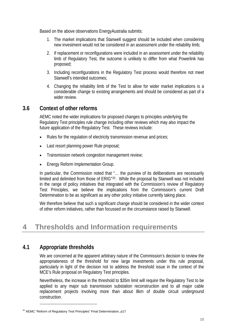<span id="page-9-0"></span>Based on the above observations EnergyAustralia submits:

- 1. The market implications that Stanwell suggest should be included when considering new investment would not be considered in an assessment under the reliability limb;
- 2. If replacement or reconfigurations were included in an assessment under the reliability limb of Regulatory Test, the outcome is unlikely to differ from what Powerlink has proposed;
- 3. Including reconfigurations in the Regulatory Test process would therefore not meet Stanwell's intended outcomes:
- 4. Changing the reliability limb of the Test to allow for wider market implications is a considerable change to existing arrangements and should be considered as part of a wider review.

### **3.6 Context of other reforms**

AEMC noted the wider implications for proposed changes to principles underlying the Regulatory Test principles rule change including other reviews which may also impact the future application of the Regulatory Test. These reviews include:

- Rules for the regulation of electricity transmission revenue and prices;
- Last resort planning power Rule proposal;
- Transmission network congestion management review;
- Energy Reform Implementation Group.

In particular, the Commission noted that "... the purview of its deliberations are necessarily limited and delimited from those of ERIG"[20](#page-9-1). While the proposal by Stanwell was not included in the range of policy initiatives that integrated with the Commission's review of Regulatory Test Principles, we believe the implications from the Commission's current Draft Determination to be as significant as any other policy initiative currently taking place.

We therefore believe that such a significant change should be considered in the wider context of other reform initiatives, rather than focussed on the circumstance raised by Stanwell.

## **4 Thresholds and Information requirements**

#### **4.1 Appropriate thresholds**

l

We are concerned at the apparent arbitrary nature of the Commission's decision to review the appropriateness of the threshold for new large investments under this rule proposal, particularly in light of the decision not to address the threshold issue in the context of the MCE's Rule proposal on Regulatory Test principles.

Nevertheless, the increase in the threshold to \$35m limit will require the Regulatory Test to be applied to any major sub transmission substation reconstruction and to all major cable replacement projects involving more than about 8km of double circuit underground construction.

<span id="page-9-1"></span><sup>&</sup>lt;sup>20</sup> AEMC "Reform of Regulatory Test Principles" Final Determination, p17